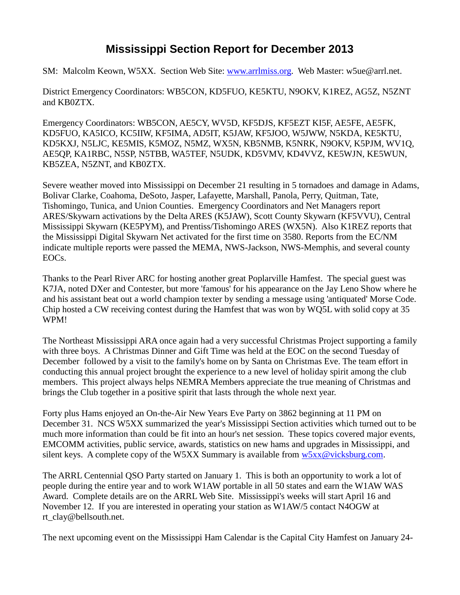## **Mississippi Section Report for December 2013**

SM: Malcolm Keown, W5XX. Section Web Site: [www.arrlmiss.org.](http://www.arrlmiss.org/) Web Master: w5ue@arrl.net.

District Emergency Coordinators: WB5CON, KD5FUO, KE5KTU, N9OKV, K1REZ, AG5Z, N5ZNT and KB0ZTX.

Emergency Coordinators: WB5CON, AE5CY, WV5D, KF5DJS, KF5EZT KI5F, AE5FE, AE5FK, KD5FUO, KA5ICO, KC5IIW, KF5IMA, AD5IT, K5JAW, KF5JOO, W5JWW, N5KDA, KE5KTU, KD5KXJ, N5LJC, KE5MIS, K5MOZ, N5MZ, WX5N, KB5NMB, K5NRK, N9OKV, K5PJM, WV1Q, AE5QP, KA1RBC, N5SP, N5TBB, WA5TEF, N5UDK, KD5VMV, KD4VVZ, KE5WJN, KE5WUN, KB5ZEA, N5ZNT, and KB0ZTX.

Severe weather moved into Mississippi on December 21 resulting in 5 tornadoes and damage in Adams, Bolivar Clarke, Coahoma, DeSoto, Jasper, Lafayette, Marshall, Panola, Perry, Quitman, Tate, Tishomingo, Tunica, and Union Counties. Emergency Coordinators and Net Managers report ARES/Skywarn activations by the Delta ARES (K5JAW), Scott County Skywarn (KF5VVU), Central Mississippi Skywarn (KE5PYM), and Prentiss/Tishomingo ARES (WX5N). Also K1REZ reports that the Mississippi Digital Skywarn Net activated for the first time on 3580. Reports from the EC/NM indicate multiple reports were passed the MEMA, NWS-Jackson, NWS-Memphis, and several county EOCs.

Thanks to the Pearl River ARC for hosting another great Poplarville Hamfest. The special guest was K7JA, noted DXer and Contester, but more 'famous' for his appearance on the Jay Leno Show where he and his assistant beat out a world champion texter by sending a message using 'antiquated' Morse Code. Chip hosted a CW receiving contest during the Hamfest that was won by WQ5L with solid copy at 35 WPM!

The Northeast Mississippi ARA once again had a very successful Christmas Project supporting a family with three boys. A Christmas Dinner and Gift Time was held at the EOC on the second Tuesday of December followed by a visit to the family's home on by Santa on Christmas Eve. The team effort in conducting this annual project brought the experience to a new level of holiday spirit among the club members. This project always helps NEMRA Members appreciate the true meaning of Christmas and brings the Club together in a positive spirit that lasts through the whole next year.

Forty plus Hams enjoyed an On-the-Air New Years Eve Party on 3862 beginning at 11 PM on December 31. NCS W5XX summarized the year's Mississippi Section activities which turned out to be much more information than could be fit into an hour's net session. These topics covered major events, EMCOMM activities, public service, awards, statistics on new hams and upgrades in Mississippi, and silent keys. A complete copy of the W5XX Summary is available from  $w5xx@vicksburg.com$ .

The ARRL Centennial QSO Party started on January 1. This is both an opportunity to work a lot of people during the entire year and to work W1AW portable in all 50 states and earn the W1AW WAS Award. Complete details are on the ARRL Web Site. Mississippi's weeks will start April 16 and November 12. If you are interested in operating your station as W1AW/5 contact N4OGW at rt\_clay@bellsouth.net.

The next upcoming event on the Mississippi Ham Calendar is the Capital City Hamfest on January 24-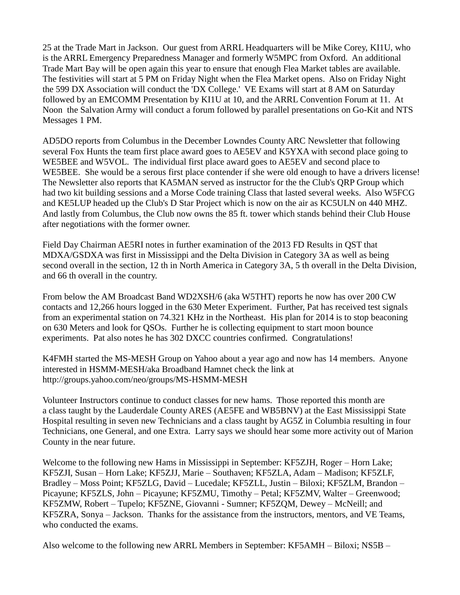25 at the Trade Mart in Jackson. Our guest from ARRL Headquarters will be Mike Corey, KI1U, who is the ARRL Emergency Preparedness Manager and formerly W5MPC from Oxford. An additional Trade Mart Bay will be open again this year to ensure that enough Flea Market tables are available. The festivities will start at 5 PM on Friday Night when the Flea Market opens. Also on Friday Night the 599 DX Association will conduct the 'DX College.' VE Exams will start at 8 AM on Saturday followed by an EMCOMM Presentation by KI1U at 10, and the ARRL Convention Forum at 11. At Noon the Salvation Army will conduct a forum followed by parallel presentations on Go-Kit and NTS Messages 1 PM.

AD5DO reports from Columbus in the December Lowndes County ARC Newsletter that following several Fox Hunts the team first place award goes to AE5EV and K5YXA with second place going to WE5BEE and W5VOL. The individual first place award goes to AE5EV and second place to WE5BEE. She would be a serous first place contender if she were old enough to have a drivers license! The Newsletter also reports that KA5MAN served as instructor for the the Club's QRP Group which had two kit building sessions and a Morse Code training Class that lasted several weeks. Also W5FCG and KE5LUP headed up the Club's D Star Project which is now on the air as KC5ULN on 440 MHZ. And lastly from Columbus, the Club now owns the 85 ft. tower which stands behind their Club House after negotiations with the former owner.

Field Day Chairman AE5RI notes in further examination of the 2013 FD Results in QST that MDXA/GSDXA was first in Mississippi and the Delta Division in Category 3A as well as being second overall in the section, 12 th in North America in Category 3A, 5 th overall in the Delta Division, and 66 th overall in the country.

From below the AM Broadcast Band WD2XSH/6 (aka W5THT) reports he now has over 200 CW contacts and 12,266 hours logged in the 630 Meter Experiment. Further, Pat has received test signals from an experimental station on 74.321 KHz in the Northeast. His plan for 2014 is to stop beaconing on 630 Meters and look for QSOs. Further he is collecting equipment to start moon bounce experiments. Pat also notes he has 302 DXCC countries confirmed. Congratulations!

K4FMH started the MS-MESH Group on Yahoo about a year ago and now has 14 members. Anyone interested in HSMM-MESH/aka Broadband Hamnet check the link at http://groups.yahoo.com/neo/groups/MS-HSMM-MESH

Volunteer Instructors continue to conduct classes for new hams. Those reported this month are a class taught by the Lauderdale County ARES (AE5FE and WB5BNV) at the East Mississippi State Hospital resulting in seven new Technicians and a class taught by AG5Z in Columbia resulting in four Technicians, one General, and one Extra. Larry says we should hear some more activity out of Marion County in the near future.

Welcome to the following new Hams in Mississippi in September: KF5ZJH, Roger – Horn Lake; KF5ZJI, Susan – Horn Lake; KF5ZJJ, Marie – Southaven; KF5ZLA, Adam – Madison; KF5ZLF, Bradley – Moss Point; KF5ZLG, David – Lucedale; KF5ZLL, Justin – Biloxi; KF5ZLM, Brandon – Picayune; KF5ZLS, John – Picayune; KF5ZMU, Timothy – Petal; KF5ZMV, Walter – Greenwood; KF5ZMW, Robert – Tupelo; KF5ZNE, Giovanni - Sumner; KF5ZQM, Dewey – McNeill; and KF5ZRA, Sonya – Jackson. Thanks for the assistance from the instructors, mentors, and VE Teams, who conducted the exams.

Also welcome to the following new ARRL Members in September: KF5AMH – Biloxi; NS5B –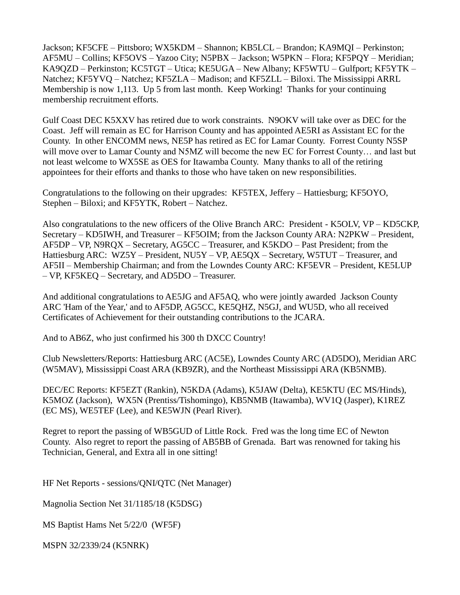Jackson; KF5CFE – Pittsboro; WX5KDM – Shannon; KB5LCL – Brandon; KA9MQI – Perkinston; AF5MU – Collins; KF5OVS – Yazoo City; N5PBX – Jackson; W5PKN – Flora; KF5PQY – Meridian; KA9QZD – Perkinston; KC5TGT – Utica; KE5UGA – New Albany; KF5WTU – Gulfport; KF5YTK – Natchez; KF5YVQ – Natchez; KF5ZLA – Madison; and KF5ZLL – Biloxi. The Mississippi ARRL Membership is now 1,113. Up 5 from last month. Keep Working! Thanks for your continuing membership recruitment efforts.

Gulf Coast DEC K5XXV has retired due to work constraints. N9OKV will take over as DEC for the Coast. Jeff will remain as EC for Harrison County and has appointed AE5RI as Assistant EC for the County. In other ENCOMM news, NE5P has retired as EC for Lamar County. Forrest County N5SP will move over to Lamar County and N5MZ will become the new EC for Forrest County… and last but not least welcome to WX5SE as OES for Itawamba County. Many thanks to all of the retiring appointees for their efforts and thanks to those who have taken on new responsibilities.

Congratulations to the following on their upgrades: KF5TEX, Jeffery – Hattiesburg; KF5OYO, Stephen – Biloxi; and KF5YTK, Robert – Natchez.

Also congratulations to the new officers of the Olive Branch ARC: President - K5OLV, VP – KD5CKP, Secretary – KD5IWH, and Treasurer – KF5OIM; from the Jackson County ARA: N2PKW – President, AF5DP – VP, N9RQX – Secretary, AG5CC – Treasurer, and K5KDO – Past President; from the Hattiesburg ARC: WZ5Y – President, NU5Y – VP, AE5QX – Secretary, W5TUT – Treasurer, and AF5II – Membership Chairman; and from the Lowndes County ARC: KF5EVR – President, KE5LUP – VP, KF5KEQ – Secretary, and AD5DO – Treasurer.

And additional congratulations to AE5JG and AF5AQ, who were jointly awarded Jackson County ARC 'Ham of the Year,' and to AF5DP, AG5CC, KE5QHZ, N5GJ, and WU5D, who all received Certificates of Achievement for their outstanding contributions to the JCARA.

And to AB6Z, who just confirmed his 300 th DXCC Country!

Club Newsletters/Reports: Hattiesburg ARC (AC5E), Lowndes County ARC (AD5DO), Meridian ARC (W5MAV), Mississippi Coast ARA (KB9ZR), and the Northeast Mississippi ARA (KB5NMB).

DEC/EC Reports: KF5EZT (Rankin), N5KDA (Adams), K5JAW (Delta), KE5KTU (EC MS/Hinds), K5MOZ (Jackson), WX5N (Prentiss/Tishomingo), KB5NMB (Itawamba), WV1Q (Jasper), K1REZ (EC MS), WE5TEF (Lee), and KE5WJN (Pearl River).

Regret to report the passing of WB5GUD of Little Rock. Fred was the long time EC of Newton County. Also regret to report the passing of AB5BB of Grenada. Bart was renowned for taking his Technician, General, and Extra all in one sitting!

HF Net Reports - sessions/QNI/QTC (Net Manager)

Magnolia Section Net 31/1185/18 (K5DSG)

MS Baptist Hams Net 5/22/0 (WF5F)

MSPN 32/2339/24 (K5NRK)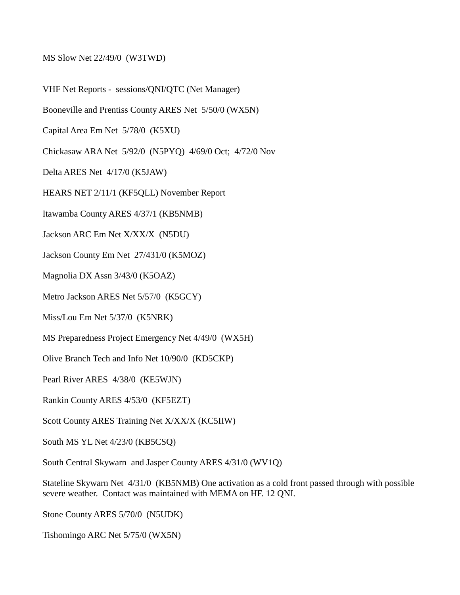MS Slow Net 22/49/0 (W3TWD)

VHF Net Reports - sessions/QNI/QTC (Net Manager)

Booneville and Prentiss County ARES Net 5/50/0 (WX5N)

Capital Area Em Net 5/78/0 (K5XU)

Chickasaw ARA Net 5/92/0 (N5PYQ) 4/69/0 Oct; 4/72/0 Nov

Delta ARES Net 4/17/0 (K5JAW)

HEARS NET 2/11/1 (KF5QLL) November Report

Itawamba County ARES 4/37/1 (KB5NMB)

Jackson ARC Em Net X/XX/X (N5DU)

Jackson County Em Net 27/431/0 (K5MOZ)

Magnolia DX Assn 3/43/0 (K5OAZ)

Metro Jackson ARES Net 5/57/0 (K5GCY)

Miss/Lou Em Net 5/37/0 (K5NRK)

MS Preparedness Project Emergency Net 4/49/0 (WX5H)

Olive Branch Tech and Info Net 10/90/0 (KD5CKP)

Pearl River ARES 4/38/0 (KE5WJN)

Rankin County ARES 4/53/0 (KF5EZT)

Scott County ARES Training Net X/XX/X (KC5IIW)

South MS YL Net 4/23/0 (KB5CSQ)

South Central Skywarn and Jasper County ARES 4/31/0 (WV1Q)

Stateline Skywarn Net 4/31/0 (KB5NMB) One activation as a cold front passed through with possible severe weather. Contact was maintained with MEMA on HF. 12 QNI.

Stone County ARES 5/70/0 (N5UDK)

Tishomingo ARC Net 5/75/0 (WX5N)